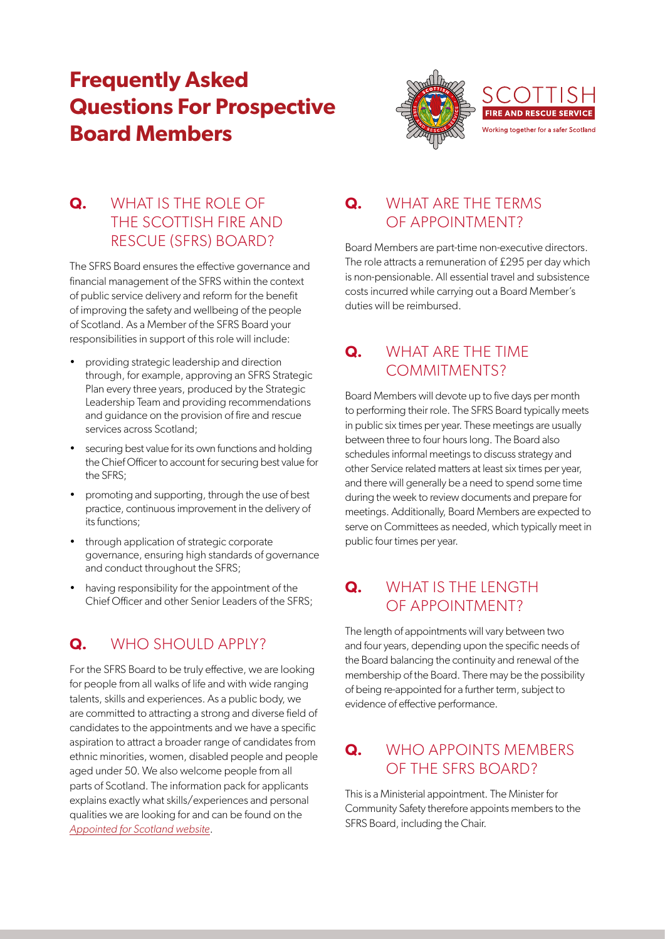

### **Q.** WHAT IS THE ROLE OF THE SCOTTISH FIRE AND RESCUE (SFRS) BOARD?

The SFRS Board ensures the effective governance and financial management of the SFRS within the context of public service delivery and reform for the benefit of improving the safety and wellbeing of the people of Scotland. As a Member of the SFRS Board your responsibilities in support of this role will include:

- providing strategic leadership and direction through, for example, approving an SFRS Strategic Plan every three years, produced by the Strategic Leadership Team and providing recommendations and guidance on the provision of fire and rescue services across Scotland;
- securing best value for its own functions and holding the Chief Officer to account for securing best value for the SFRS;
- promoting and supporting, through the use of best practice, continuous improvement in the delivery of its functions;
- through application of strategic corporate governance, ensuring high standards of governance and conduct throughout the SFRS;
- having responsibility for the appointment of the Chief Officer and other Senior Leaders of the SFRS;

### **Q.** WHO SHOULD APPLY?

For the SFRS Board to be truly effective, we are looking for people from all walks of life and with wide ranging talents, skills and experiences. As a public body, we are committed to attracting a strong and diverse field of candidates to the appointments and we have a specific aspiration to attract a broader range of candidates from ethnic minorities, women, disabled people and people aged under 50. We also welcome people from all parts of Scotland. The information pack for applicants explains exactly what skills/experiences and personal qualities we are looking for and can be found on the *[Appointed for Scotland website](https://www.appointed-for-scotland.org)*.

### **Q.** WHAT ARE THE TERMS OF APPOINTMENT?

Board Members are part-time non-executive directors. The role attracts a remuneration of £295 per day which is non-pensionable. All essential travel and subsistence costs incurred while carrying out a Board Member's duties will be reimbursed.

### **Q.** WHAT ARE THE TIME COMMITMENTS?

Board Members will devote up to five days per month to performing their role. The SFRS Board typically meets in public six times per year. These meetings are usually between three to four hours long. The Board also schedules informal meetings to discuss strategy and other Service related matters at least six times per year, and there will generally be a need to spend some time during the week to review documents and prepare for meetings. Additionally, Board Members are expected to serve on Committees as needed, which typically meet in public four times per year.

### **Q.** WHAT IS THE LENGTH OF APPOINTMENT?

The length of appointments will vary between two and four years, depending upon the specific needs of the Board balancing the continuity and renewal of the membership of the Board. There may be the possibility of being re-appointed for a further term, subject to evidence of effective performance.

### **Q.** WHO APPOINTS MEMBERS OF THE SFRS BOARD?

This is a Ministerial appointment. The Minister for Community Safety therefore appoints members to the SFRS Board, including the Chair.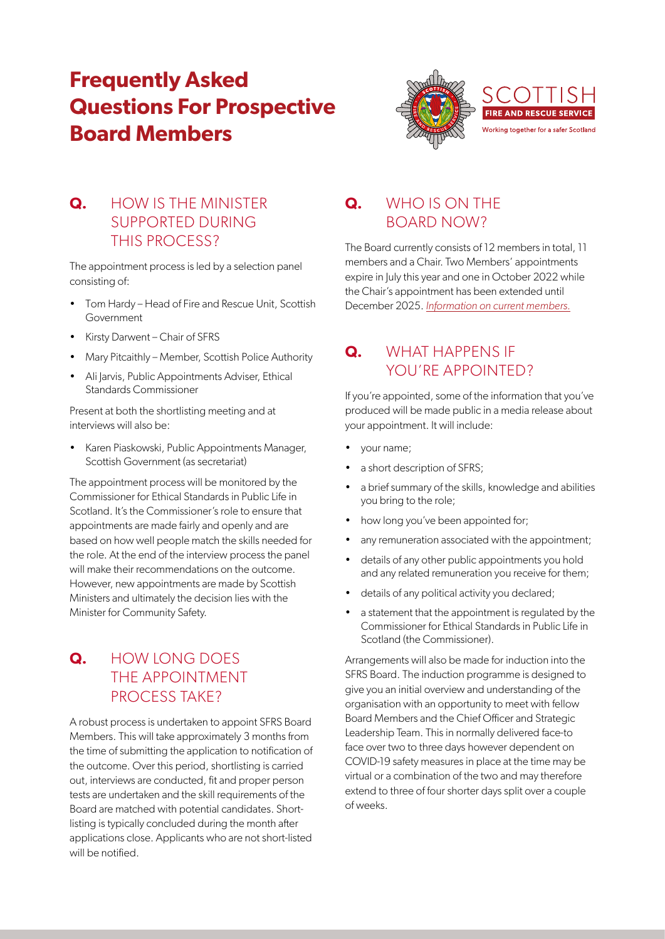

### **Q.** HOW IS THE MINISTER SUPPORTED DURING THIS PROCESS?

The appointment process is led by a selection panel consisting of:

- Tom Hardy Head of Fire and Rescue Unit, Scottish Government
- Kirsty Darwent Chair of SFRS
- Mary Pitcaithly Member, Scottish Police Authority
- Ali Jarvis, Public Appointments Adviser, Ethical Standards Commissioner

Present at both the shortlisting meeting and at interviews will also be:

• Karen Piaskowski, Public Appointments Manager, Scottish Government (as secretariat)

The appointment process will be monitored by the Commissioner for Ethical Standards in Public Life in Scotland. It's the Commissioner's role to ensure that appointments are made fairly and openly and are based on how well people match the skills needed for the role. At the end of the interview process the panel will make their recommendations on the outcome. However, new appointments are made by Scottish Ministers and ultimately the decision lies with the Minister for Community Safety.

### **Q.** HOW LONG DOES THE APPOINTMENT PROCESS TAKE?

A robust process is undertaken to appoint SFRS Board Members. This will take approximately 3 months from the time of submitting the application to notification of the outcome. Over this period, shortlisting is carried out, interviews are conducted, fit and proper person tests are undertaken and the skill requirements of the Board are matched with potential candidates. Shortlisting is typically concluded during the month after applications close. Applicants who are not short-listed will be notified.

### **Q.** WHO IS ON THE BOARD NOW?

The Board currently consists of 12 members in total, 11 members and a Chair. Two Members' appointments expire in July this year and one in October 2022 while the Chair's appointment has been extended until December 2025. *[Information on current members.](https://www.firescotland.gov.uk/about-us/sfrs-board.aspx)*

### **Q.** WHAT HAPPENS IF YOU'RE APPOINTED?

If you're appointed, some of the information that you've produced will be made public in a media release about your appointment. It will include:

- your name;
- a short description of SFRS;
- a brief summary of the skills, knowledge and abilities you bring to the role;
- how long you've been appointed for;
- any remuneration associated with the appointment;
- details of any other public appointments you hold and any related remuneration you receive for them;
- details of any political activity you declared;
- a statement that the appointment is regulated by the Commissioner for Ethical Standards in Public Life in Scotland (the Commissioner).

Arrangements will also be made for induction into the SFRS Board. The induction programme is designed to give you an initial overview and understanding of the organisation with an opportunity to meet with fellow Board Members and the Chief Officer and Strategic Leadership Team. This in normally delivered face-to face over two to three days however dependent on COVID-19 safety measures in place at the time may be virtual or a combination of the two and may therefore extend to three of four shorter days split over a couple of weeks.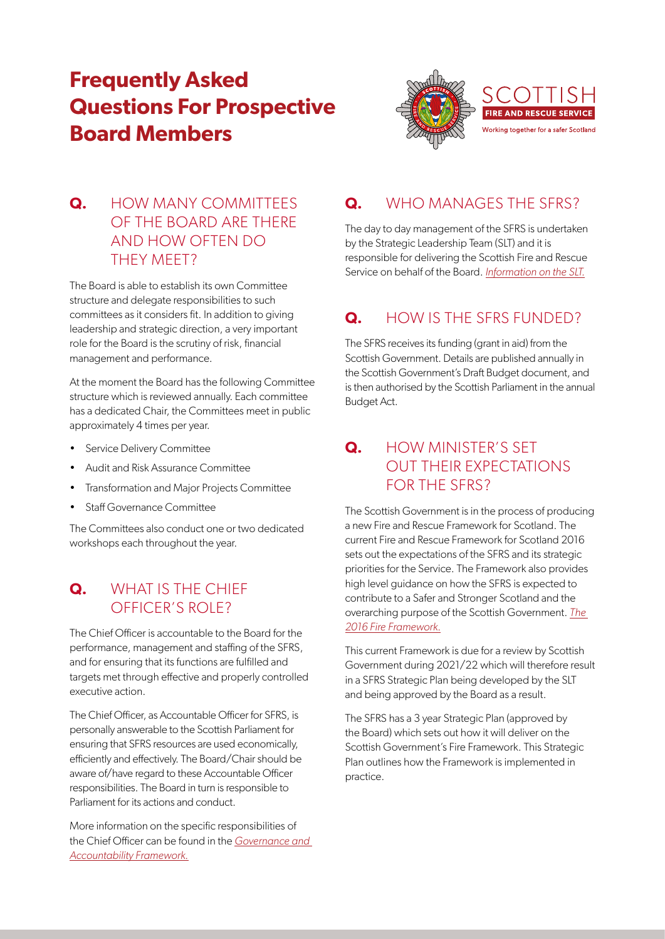

### **Q.** HOW MANY COMMITTEES OF THE BOARD ARE THERE AND HOW OFTEN DO THEY MEET?

The Board is able to establish its own Committee structure and delegate responsibilities to such committees as it considers fit. In addition to giving leadership and strategic direction, a very important role for the Board is the scrutiny of risk, financial management and performance.

At the moment the Board has the following Committee structure which is reviewed annually. Each committee has a dedicated Chair, the Committees meet in public approximately 4 times per year.

- Service Delivery Committee
- Audit and Risk Assurance Committee
- Transformation and Major Projects Committee
- Staff Governance Committee

The Committees also conduct one or two dedicated workshops each throughout the year.

### **Q.** WHAT IS THE CHIEF OFFICER'S ROLE?

The Chief Officer is accountable to the Board for the performance, management and staffing of the SFRS, and for ensuring that its functions are fulfilled and targets met through effective and properly controlled executive action.

The Chief Officer, as Accountable Officer for SFRS, is personally answerable to the Scottish Parliament for ensuring that SFRS resources are used economically, efficiently and effectively. The Board/Chair should be aware of/have regard to these Accountable Officer responsibilities. The Board in turn is responsible to Parliament for its actions and conduct.

More information on the specific responsibilities of the Chief Officer can be found in the *[Governance and](https://www.firescotland.gov.uk/media/630689/140626_item_15_governance_and_accountability_framework.pdf)  [Accountability Framework.](https://www.firescotland.gov.uk/media/630689/140626_item_15_governance_and_accountability_framework.pdf)*

### **Q.** WHO MANAGES THE SFRS?

The day to day management of the SFRS is undertaken by the Strategic Leadership Team (SLT) and it is responsible for delivering the Scottish Fire and Rescue Service on behalf of the Board. *[Information on the SLT.](https://www.firescotland.gov.uk/about-us/strategic-leadership-team.aspx)*

### **Q.** HOW IS THE SFRS FUNDED?

The SFRS receives its funding (grant in aid) from the Scottish Government. Details are published annually in the Scottish Government's Draft Budget document, and is then authorised by the Scottish Parliament in the annual Budget Act.

### **Q.** HOW MINISTER'S SET OUT THEIR EXPECTATIONS FOR THE SFRS?

The Scottish Government is in the process of producing a new Fire and Rescue Framework for Scotland. The current Fire and Rescue Framework for Scotland 2016 sets out the expectations of the SFRS and its strategic priorities for the Service. The Framework also provides high level guidance on how the SFRS is expected to contribute to a Safer and Stronger Scotland and the overarching purpose of the Scottish Government. *[The](https://www.gov.scot/publications/fire-rescue-framework-scotland-2016/)  [2016 Fire Framework.](https://www.gov.scot/publications/fire-rescue-framework-scotland-2016/)*

This current Framework is due for a review by Scottish Government during 2021/22 which will therefore result in a SFRS Strategic Plan being developed by the SLT and being approved by the Board as a result.

The SFRS has a 3 year Strategic Plan (approved by the Board) which sets out how it will deliver on the Scottish Government's Fire Framework. This Strategic Plan outlines how the Framework is implemented in practice.